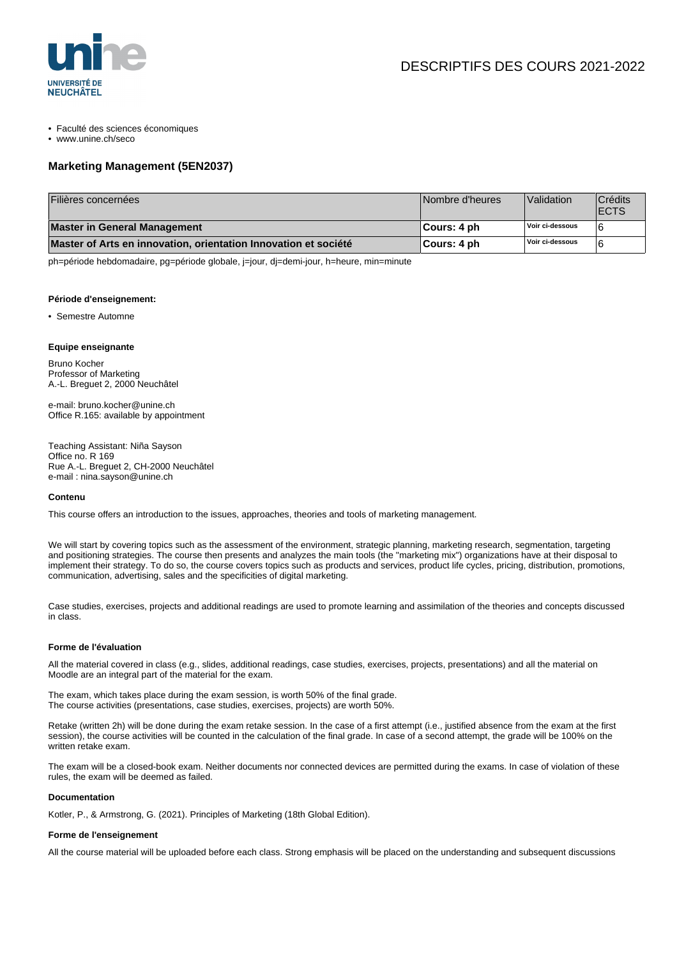

- Faculté des sciences économiques
- www.unine.ch/seco

# **Marketing Management (5EN2037)**

| Filières concernées                                             | Nombre d'heures | Validation      | Crédits<br><b>ECTS</b> |
|-----------------------------------------------------------------|-----------------|-----------------|------------------------|
| Master in General Management                                    | ∥Cours: 4 ph    | Voir ci-dessous |                        |
| Master of Arts en innovation, orientation Innovation et société | ∥Cours: 4 ph    | Voir ci-dessous |                        |

ph=période hebdomadaire, pg=période globale, j=jour, dj=demi-jour, h=heure, min=minute

### **Période d'enseignement:**

• Semestre Automne

## **Equipe enseignante**

Bruno Kocher Professor of Marketing A.-L. Breguet 2, 2000 Neuchâtel

e-mail: bruno.kocher@unine.ch Office R.165: available by appointment

Teaching Assistant: Niña Sayson Office no. R 169 Rue A.-L. Breguet 2, CH-2000 Neuchâtel e-mail : nina.sayson@unine.ch

### **Contenu**

This course offers an introduction to the issues, approaches, theories and tools of marketing management.

We will start by covering topics such as the assessment of the environment, strategic planning, marketing research, segmentation, targeting and positioning strategies. The course then presents and analyzes the main tools (the "marketing mix") organizations have at their disposal to implement their strategy. To do so, the course covers topics such as products and services, product life cycles, pricing, distribution, promotions, communication, advertising, sales and the specificities of digital marketing.

Case studies, exercises, projects and additional readings are used to promote learning and assimilation of the theories and concepts discussed in class.

### **Forme de l'évaluation**

All the material covered in class (e.g., slides, additional readings, case studies, exercises, projects, presentations) and all the material on Moodle are an integral part of the material for the exam.

The exam, which takes place during the exam session, is worth 50% of the final grade. The course activities (presentations, case studies, exercises, projects) are worth 50%.

Retake (written 2h) will be done during the exam retake session. In the case of a first attempt (i.e., justified absence from the exam at the first session), the course activities will be counted in the calculation of the final grade. In case of a second attempt, the grade will be 100% on the written retake exam.

The exam will be a closed-book exam. Neither documents nor connected devices are permitted during the exams. In case of violation of these rules, the exam will be deemed as failed.

## **Documentation**

Kotler, P., & Armstrong, G. (2021). Principles of Marketing (18th Global Edition).

### **Forme de l'enseignement**

All the course material will be uploaded before each class. Strong emphasis will be placed on the understanding and subsequent discussions